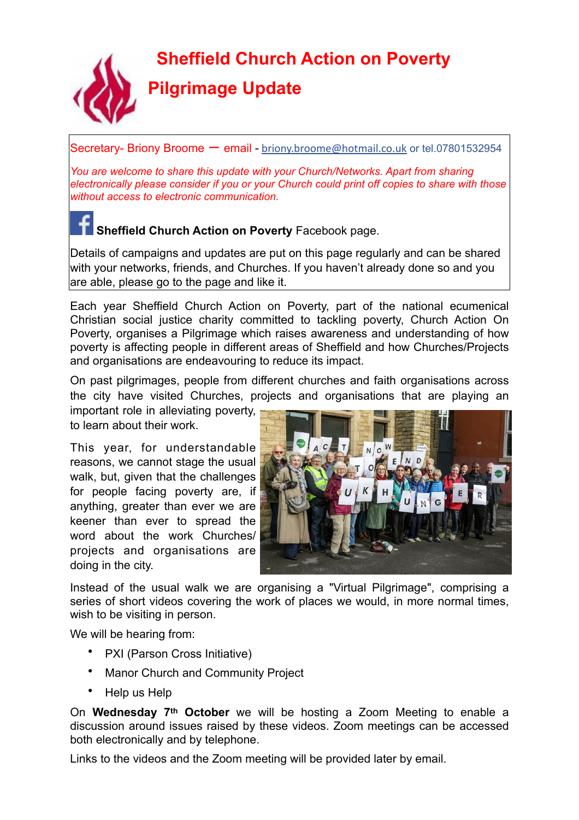**Sheffield Church Action on Poverty** 



**Pilgrimage Update** 

Secretary- Briony Broome – email - briony.broome@hotmail.co.uk or tel.07801532954

*You are welcome to share this update with your Church/Networks. Apart from sharing electronically please consider if you or your Church could print off copies to share with those without access to electronic communication.* 

# **Sheffield Church Action on Poverty** Facebook page.

Details of campaigns and updates are put on this page regularly and can be shared with your networks, friends, and Churches. If you haven't already done so and you are able, please go to the page and like it.

Each year Sheffield Church Action on Poverty, part of the national ecumenical Christian social justice charity committed to tackling poverty, Church Action On Poverty, organises a Pilgrimage which raises awareness and understanding of how poverty is affecting people in different areas of Sheffield and how Churches/Projects and organisations are endeavouring to reduce its impact.

On past pilgrimages, people from different churches and faith organisations across the city have visited Churches, projects and organisations that are playing an

important role in alleviating poverty, to learn about their work.

This year, for understandable reasons, we cannot stage the usual walk, but, given that the challenges for people facing poverty are, if anything, greater than ever we are keener than ever to spread the word about the work Churches/ projects and organisations are doing in the city.



Instead of the usual walk we are organising a "Virtual Pilgrimage", comprising a series of short videos covering the work of places we would, in more normal times, wish to be visiting in person.

We will be hearing from:

- PXI (Parson Cross Initiative)
- Manor Church and Community Project
- Help us Help

On **Wednesday 7th October** we will be hosting a Zoom Meeting to enable a discussion around issues raised by these videos. Zoom meetings can be accessed both electronically and by telephone.

Links to the videos and the Zoom meeting will be provided later by email.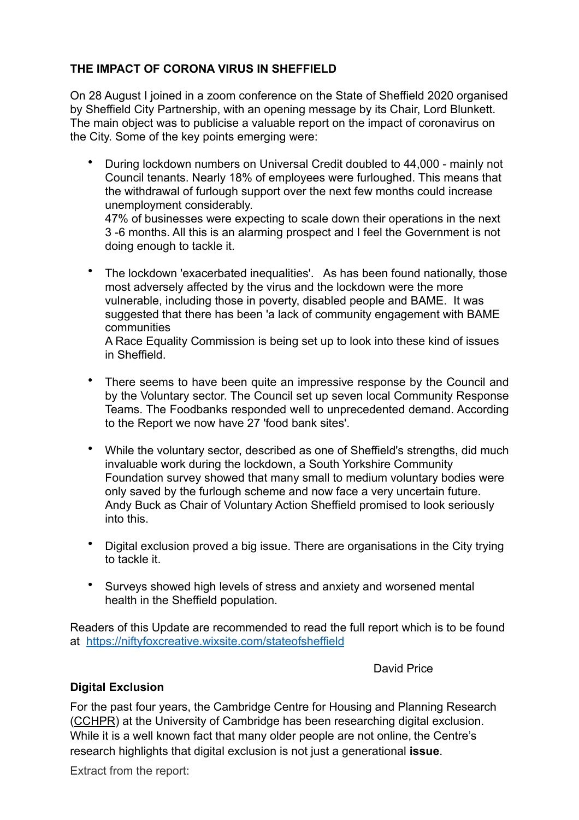# **THE IMPACT OF CORONA VIRUS IN SHEFFIELD**

On 28 August I joined in a zoom conference on the State of Sheffield 2020 organised by Sheffield City Partnership, with an opening message by its Chair, Lord Blunkett. The main object was to publicise a valuable report on the impact of coronavirus on the City. Some of the key points emerging were:

• During lockdown numbers on Universal Credit doubled to 44,000 - mainly not Council tenants. Nearly 18% of employees were furloughed. This means that the withdrawal of furlough support over the next few months could increase unemployment considerably. 47% of businesses were expecting to scale down their operations in the next

3 -6 months. All this is an alarming prospect and I feel the Government is not doing enough to tackle it.

The lockdown 'exacerbated inequalities'. As has been found nationally, those most adversely affected by the virus and the lockdown were the more vulnerable, including those in poverty, disabled people and BAME. It was suggested that there has been 'a lack of community engagement with BAME communities

A Race Equality Commission is being set up to look into these kind of issues in Sheffield.

- There seems to have been quite an impressive response by the Council and by the Voluntary sector. The Council set up seven local Community Response Teams. The Foodbanks responded well to unprecedented demand. According to the Report we now have 27 'food bank sites'.
- While the voluntary sector, described as one of Sheffield's strengths, did much invaluable work during the lockdown, a South Yorkshire Community Foundation survey showed that many small to medium voluntary bodies were only saved by the furlough scheme and now face a very uncertain future. Andy Buck as Chair of Voluntary Action Sheffield promised to look seriously into this.
- Digital exclusion proved a big issue. There are organisations in the City trying to tackle it.
- Surveys showed high levels of stress and anxiety and worsened mental health in the Sheffield population.

Readers of this Update are recommended to read the full report which is to be found at <https://niftyfoxcreative.wixsite.com/stateofsheffield>

David Price

### **Digital Exclusion**

For the past four years, the Cambridge Centre for Housing and Planning Research (CCHPR) at the University of Cambridge has been researching digital exclusion. While it is a well known fact that many older people are not online, the Centre's research highlights that digital exclusion is not just a generational **issue**.

Extract from the report: